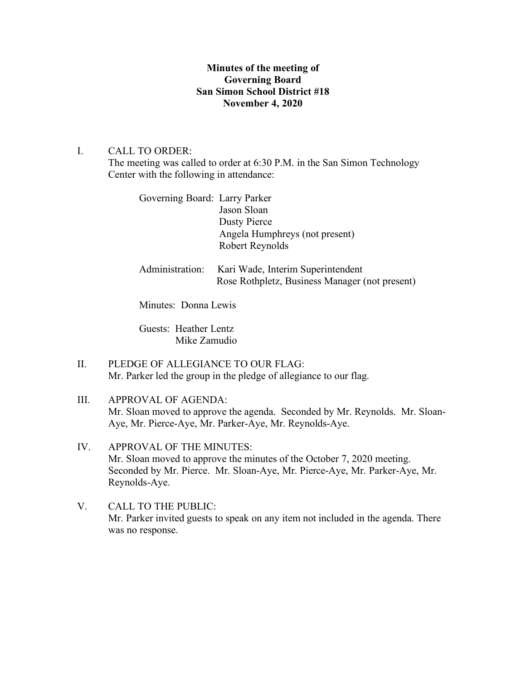## **Minutes of the meeting of Governing Board San Simon School District #18 November 4, 2020**

## I. CALL TO ORDER:

The meeting was called to order at 6:30 P.M. in the San Simon Technology Center with the following in attendance:

| Governing Board: Larry Parker | Jason Sloan<br><b>Dusty Pierce</b><br>Angela Humphreys (not present)<br>Robert Reynolds |
|-------------------------------|-----------------------------------------------------------------------------------------|
| Administration:               | Kari Wade, Interim Superintendent<br>Rose Rothpletz, Business Manager (not present)     |

Minutes: Donna Lewis

Guests: Heather Lentz Mike Zamudio

- II. PLEDGE OF ALLEGIANCE TO OUR FLAG: Mr. Parker led the group in the pledge of allegiance to our flag.
- III. APPROVAL OF AGENDA: Mr. Sloan moved to approve the agenda. Seconded by Mr. Reynolds. Mr. Sloan-Aye, Mr. Pierce-Aye, Mr. Parker-Aye, Mr. Reynolds-Aye.
- IV. APPROVAL OF THE MINUTES: Mr. Sloan moved to approve the minutes of the October 7, 2020 meeting. Seconded by Mr. Pierce. Mr. Sloan-Aye, Mr. Pierce-Aye, Mr. Parker-Aye, Mr. Reynolds-Aye.
- V. CALL TO THE PUBLIC: Mr. Parker invited guests to speak on any item not included in the agenda. There was no response.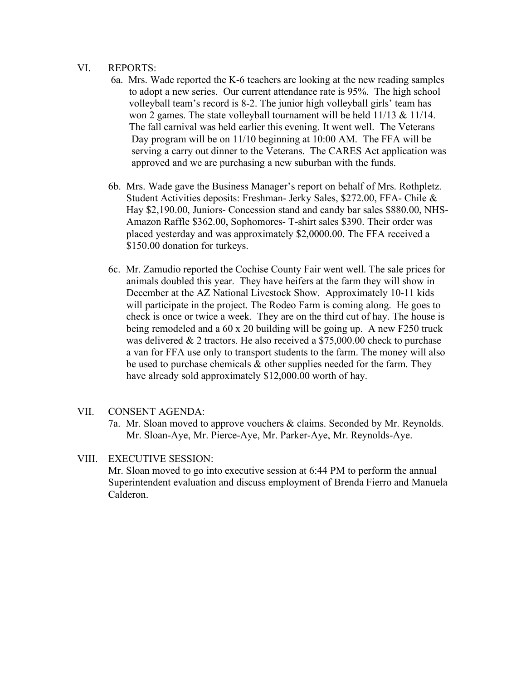## VI. REPORTS:

- 6a. Mrs. Wade reported the K-6 teachers are looking at the new reading samples to adopt a new series. Our current attendance rate is 95%. The high school volleyball team's record is 8-2. The junior high volleyball girls' team has won 2 games. The state volleyball tournament will be held  $11/13 \& 11/14$ . The fall carnival was held earlier this evening. It went well. The Veterans Day program will be on 11/10 beginning at 10:00 AM. The FFA will be serving a carry out dinner to the Veterans. The CARES Act application was approved and we are purchasing a new suburban with the funds.
- 6b. Mrs. Wade gave the Business Manager's report on behalf of Mrs. Rothpletz. Student Activities deposits: Freshman- Jerky Sales, \$272.00, FFA- Chile & Hay \$2,190.00, Juniors- Concession stand and candy bar sales \$880.00, NHS- Amazon Raffle \$362.00, Sophomores- T-shirt sales \$390. Their order was placed yesterday and was approximately \$2,0000.00. The FFA received a \$150.00 donation for turkeys.
- 6c. Mr. Zamudio reported the Cochise County Fair went well. The sale prices for animals doubled this year. They have heifers at the farm they will show in December at the AZ National Livestock Show. Approximately 10-11 kids will participate in the project. The Rodeo Farm is coming along. He goes to check is once or twice a week. They are on the third cut of hay. The house is being remodeled and a 60 x 20 building will be going up. A new F250 truck was delivered & 2 tractors. He also received a \$75,000.00 check to purchase a van for FFA use only to transport students to the farm. The money will also be used to purchase chemicals & other supplies needed for the farm. They have already sold approximately \$12,000.00 worth of hay.
- VII. CONSENT AGENDA:
	- 7a. Mr. Sloan moved to approve vouchers & claims. Seconded by Mr. Reynolds. Mr. Sloan-Aye, Mr. Pierce-Aye, Mr. Parker-Aye, Mr. Reynolds-Aye.

## VIII. EXECUTIVE SESSION:

Mr. Sloan moved to go into executive session at 6:44 PM to perform the annual Superintendent evaluation and discuss employment of Brenda Fierro and Manuela Calderon.